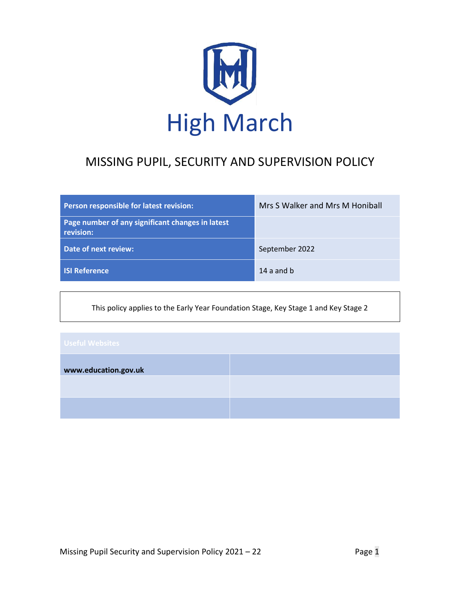

# MISSING PUPIL, SECURITY AND SUPERVISION POLICY

| Person responsible for latest revision:                       | Mrs S Walker and Mrs M Honiball |
|---------------------------------------------------------------|---------------------------------|
| Page number of any significant changes in latest<br>revision: |                                 |
| Date of next review:                                          | September 2022                  |
| <b>SI Reference</b>                                           | 14 a and b                      |

This policy applies to the Early Year Foundation Stage, Key Stage 1 and Key Stage 2

| <b>Useful Websites</b> |  |
|------------------------|--|
| www.education.gov.uk   |  |
|                        |  |
|                        |  |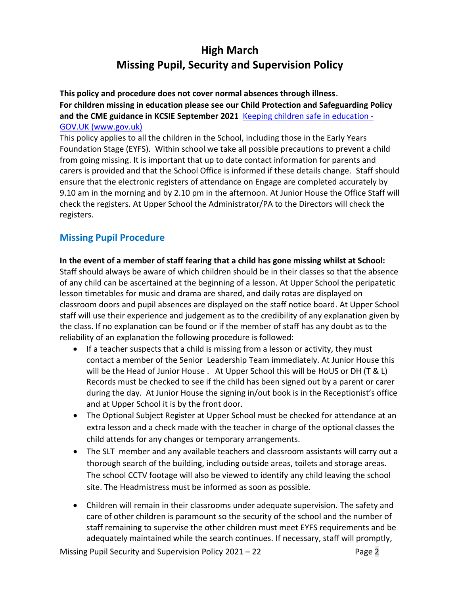# **High March Missing Pupil, Security and Supervision Policy**

**This policy and procedure does not cover normal absences through illness**. **For children missing in education please see our Child Protection and Safeguarding Policy and the CME guidance in KCSIE September 2021** [Keeping children safe in](https://www.gov.uk/government/publications/keeping-children-safe-in-education--2) education - [GOV.UK \(www.gov.uk\)](https://www.gov.uk/government/publications/keeping-children-safe-in-education--2)

This policy applies to all the children in the School, including those in the Early Years Foundation Stage (EYFS). Within school we take all possible precautions to prevent a child from going missing. It is important that up to date contact information for parents and carers is provided and that the School Office is informed if these details change. Staff should ensure that the electronic registers of attendance on Engage are completed accurately by 9.10 am in the morning and by 2.10 pm in the afternoon. At Junior House the Office Staff will check the registers. At Upper School the Administrator/PA to the Directors will check the registers.

# **Missing Pupil Procedure**

**In the event of a member of staff fearing that a child has gone missing whilst at School:** Staff should always be aware of which children should be in their classes so that the absence of any child can be ascertained at the beginning of a lesson. At Upper School the peripatetic lesson timetables for music and drama are shared, and daily rotas are displayed on classroom doors and pupil absences are displayed on the staff notice board. At Upper School staff will use their experience and judgement as to the credibility of any explanation given by the class. If no explanation can be found or if the member of staff has any doubt as to the reliability of an explanation the following procedure is followed:

- If a teacher suspects that a child is missing from a lesson or activity, they must contact a member of the Senior Leadership Team immediately. At Junior House this will be the Head of Junior House . At Upper School this will be HoUS or DH (T & L) Records must be checked to see if the child has been signed out by a parent or carer during the day. At Junior House the signing in/out book is in the Receptionist's office and at Upper School it is by the front door.
- The Optional Subject Register at Upper School must be checked for attendance at an extra lesson and a check made with the teacher in charge of the optional classes the child attends for any changes or temporary arrangements.
- The SLT member and any available teachers and classroom assistants will carry out a thorough search of the building, including outside areas, toilets and storage areas. The school CCTV footage will also be viewed to identify any child leaving the school site. The Headmistress must be informed as soon as possible.
- Children will remain in their classrooms under adequate supervision. The safety and care of other children is paramount so the security of the school and the number of staff remaining to supervise the other children must meet EYFS requirements and be adequately maintained while the search continues. If necessary, staff will promptly,

Missing Pupil Security and Supervision Policy 2021 – 22 Page 2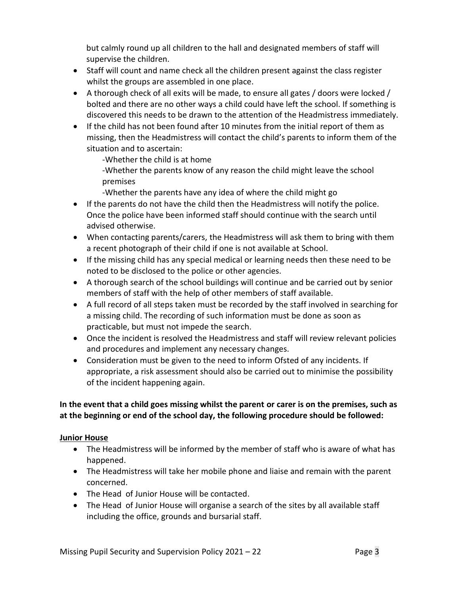but calmly round up all children to the hall and designated members of staff will supervise the children.

- Staff will count and name check all the children present against the class register whilst the groups are assembled in one place.
- A thorough check of all exits will be made, to ensure all gates / doors were locked / bolted and there are no other ways a child could have left the school. If something is discovered this needs to be drawn to the attention of the Headmistress immediately.
- If the child has not been found after 10 minutes from the initial report of them as missing, then the Headmistress will contact the child's parents to inform them of the situation and to ascertain:

-Whether the child is at home

-Whether the parents know of any reason the child might leave the school premises

-Whether the parents have any idea of where the child might go

- If the parents do not have the child then the Headmistress will notify the police. Once the police have been informed staff should continue with the search until advised otherwise.
- When contacting parents/carers, the Headmistress will ask them to bring with them a recent photograph of their child if one is not available at School.
- If the missing child has any special medical or learning needs then these need to be noted to be disclosed to the police or other agencies.
- A thorough search of the school buildings will continue and be carried out by senior members of staff with the help of other members of staff available.
- A full record of all steps taken must be recorded by the staff involved in searching for a missing child. The recording of such information must be done as soon as practicable, but must not impede the search.
- Once the incident is resolved the Headmistress and staff will review relevant policies and procedures and implement any necessary changes.
- Consideration must be given to the need to inform Ofsted of any incidents. If appropriate, a risk assessment should also be carried out to minimise the possibility of the incident happening again.

# **In the event that a child goes missing whilst the parent or carer is on the premises, such as at the beginning or end of the school day, the following procedure should be followed:**

# **Junior House**

- The Headmistress will be informed by the member of staff who is aware of what has happened.
- The Headmistress will take her mobile phone and liaise and remain with the parent concerned.
- The Head of Junior House will be contacted.
- The Head of Junior House will organise a search of the sites by all available staff including the office, grounds and bursarial staff.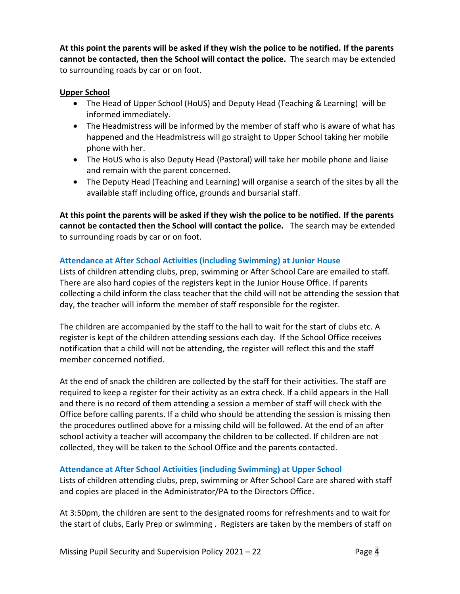**At this point the parents will be asked if they wish the police to be notified. If the parents cannot be contacted, then the School will contact the police.** The search may be extended to surrounding roads by car or on foot.

### **Upper School**

- The Head of Upper School (HoUS) and Deputy Head (Teaching & Learning) will be informed immediately.
- The Headmistress will be informed by the member of staff who is aware of what has happened and the Headmistress will go straight to Upper School taking her mobile phone with her.
- The HoUS who is also Deputy Head (Pastoral) will take her mobile phone and liaise and remain with the parent concerned.
- The Deputy Head (Teaching and Learning) will organise a search of the sites by all the available staff including office, grounds and bursarial staff.

**At this point the parents will be asked if they wish the police to be notified. If the parents cannot be contacted then the School will contact the police.** The search may be extended to surrounding roads by car or on foot.

# **Attendance at After School Activities (including Swimming) at Junior House**

Lists of children attending clubs, prep, swimming or After School Care are emailed to staff. There are also hard copies of the registers kept in the Junior House Office. If parents collecting a child inform the class teacher that the child will not be attending the session that day, the teacher will inform the member of staff responsible for the register.

The children are accompanied by the staff to the hall to wait for the start of clubs etc. A register is kept of the children attending sessions each day. If the School Office receives notification that a child will not be attending, the register will reflect this and the staff member concerned notified.

At the end of snack the children are collected by the staff for their activities. The staff are required to keep a register for their activity as an extra check. If a child appears in the Hall and there is no record of them attending a session a member of staff will check with the Office before calling parents. If a child who should be attending the session is missing then the procedures outlined above for a missing child will be followed. At the end of an after school activity a teacher will accompany the children to be collected. If children are not collected, they will be taken to the School Office and the parents contacted.

# **Attendance at After School Activities (including Swimming) at Upper School**

Lists of children attending clubs, prep, swimming or After School Care are shared with staff and copies are placed in the Administrator/PA to the Directors Office.

At 3:50pm, the children are sent to the designated rooms for refreshments and to wait for the start of clubs, Early Prep or swimming . Registers are taken by the members of staff on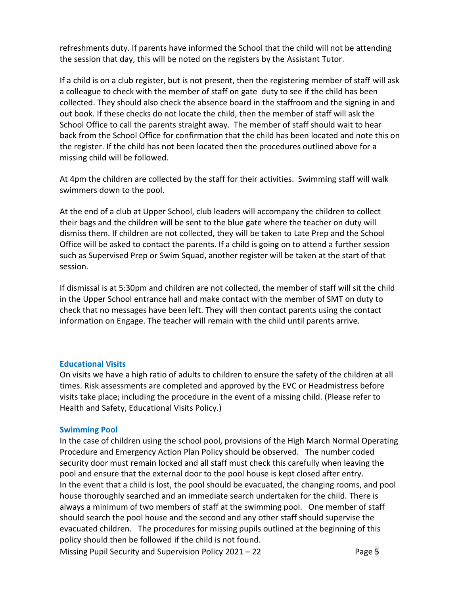refreshments duty. If parents have informed the School that the child will not be attending the session that day, this will be noted on the registers by the Assistant Tutor.

If a child is on a club register, but is not present, then the registering member of staff will ask a colleague to check with the member of staff on gate duty to see if the child has been collected. They should also check the absence board in the staffroom and the signing in and out book. If these checks do not locate the child, then the member of staff will ask the School Office to call the parents straight away. The member of staff should wait to hear back from the School Office for confirmation that the child has been located and note this on the register. If the child has not been located then the procedures outlined above for a missing child will be followed.

At 4pm the children are collected by the staff for their activities. Swimming staff will walk swimmers down to the pool.

At the end of a club at Upper School, club leaders will accompany the children to collect their bags and the children will be sent to the blue gate where the teacher on duty will dismiss them. If children are not collected, they will be taken to Late Prep and the School Office will be asked to contact the parents. If a child is going on to attend a further session such as Supervised Prep or Swim Squad, another register will be taken at the start of that session.

If dismissal is at 5:30pm and children are not collected, the member of staff will sit the child in the Upper School entrance hall and make contact with the member of SMT on duty to check that no messages have been left. They will then contact parents using the contact information on Engage. The teacher will remain with the child until parents arrive.

#### **Educational Visits**

On visits we have a high ratio of adults to children to ensure the safety of the children at all times. Risk assessments are completed and approved by the EVC or Headmistress before visits take place; including the procedure in the event of a missing child. (Please refer to Health and Safety, Educational Visits Policy.)

#### **Swimming Pool**

In the case of children using the school pool, provisions of the High March Normal Operating Procedure and Emergency Action Plan Policy should be observed. The number coded security door must remain locked and all staff must check this carefully when leaving the pool and ensure that the external door to the pool house is kept closed after entry. In the event that a child is lost, the pool should be evacuated, the changing rooms, and pool house thoroughly searched and an immediate search undertaken for the child. There is always a minimum of two members of staff at the swimming pool. One member of staff should search the pool house and the second and any other staff should supervise the evacuated children. The procedures for missing pupils outlined at the beginning of this policy should then be followed if the child is not found.

Missing Pupil Security and Supervision Policy 2021 – 22 Page 5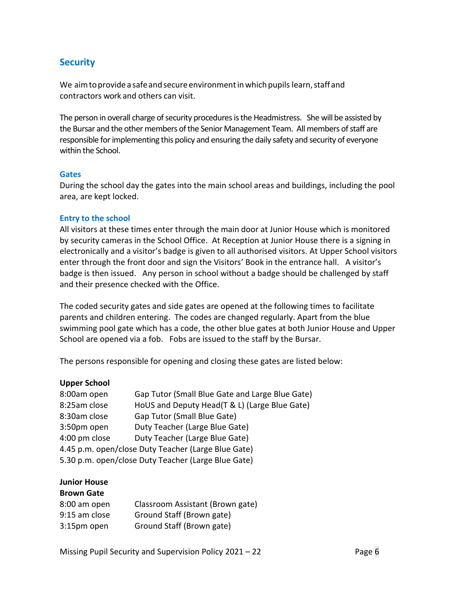# **Security**

We aim to provide a safe and secure environment in which pupils learn, staff and contractors work and others can visit.

The person in overall charge of security procedures is the Headmistress. She will be assisted by the Bursar and the other members of the Senior Management Team. All members of staff are responsible for implementing this policy and ensuring the daily safety and security of everyone within the School.

#### **Gates**

During the school day the gates into the main school areas and buildings, including the pool area, are kept locked.

#### **Entry to the school**

All visitors at these times enter through the main door at Junior House which is monitored by security cameras in the School Office. At Reception at Junior House there is a signing in electronically and a visitor's badge is given to all authorised visitors. At Upper School visitors enter through the front door and sign the Visitors' Book in the entrance hall. A visitor's badge is then issued. Any person in school without a badge should be challenged by staff and their presence checked with the Office.

The coded security gates and side gates are opened at the following times to facilitate parents and children entering. The codes are changed regularly. Apart from the blue swimming pool gate which has a code, the other blue gates at both Junior House and Upper School are opened via a fob. Fobs are issued to the staff by the Bursar.

The persons responsible for opening and closing these gates are listed below:

#### **Upper School**

| 8:00am open                                         | Gap Tutor (Small Blue Gate and Large Blue Gate) |  |
|-----------------------------------------------------|-------------------------------------------------|--|
| 8:25am close                                        | HoUS and Deputy Head(T & L) (Large Blue Gate)   |  |
| 8:30am close                                        | Gap Tutor (Small Blue Gate)                     |  |
| 3:50pm open                                         | Duty Teacher (Large Blue Gate)                  |  |
| 4:00 pm close                                       | Duty Teacher (Large Blue Gate)                  |  |
| 4.45 p.m. open/close Duty Teacher (Large Blue Gate) |                                                 |  |
| 5.30 p.m. open/close Duty Teacher (Large Blue Gate) |                                                 |  |

# **Junior House**

| <b>Brown Gate</b> |                                  |
|-------------------|----------------------------------|
| 8:00 am open      | Classroom Assistant (Brown gate) |
| 9:15 am close     | Ground Staff (Brown gate)        |
| 3:15pm open       | Ground Staff (Brown gate)        |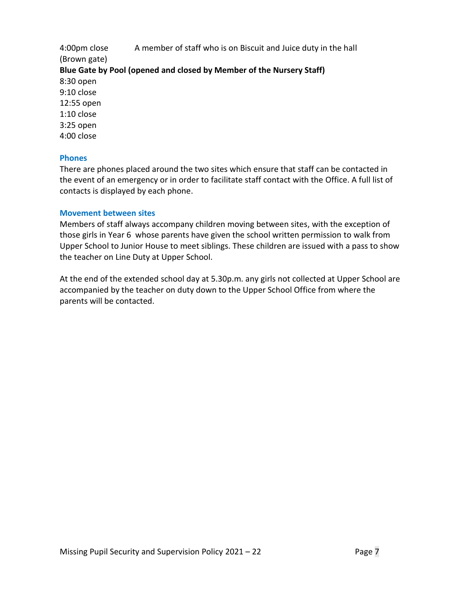4:00pm close A member of staff who is on Biscuit and Juice duty in the hall (Brown gate) **Blue Gate by Pool (opened and closed by Member of the Nursery Staff)** 8:30 open 9:10 close 12:55 open 1:10 close 3:25 open 4:00 close

#### **Phones**

There are phones placed around the two sites which ensure that staff can be contacted in the event of an emergency or in order to facilitate staff contact with the Office. A full list of contacts is displayed by each phone.

#### **Movement between sites**

Members of staff always accompany children moving between sites, with the exception of those girls in Year 6 whose parents have given the school written permission to walk from Upper School to Junior House to meet siblings. These children are issued with a pass to show the teacher on Line Duty at Upper School.

At the end of the extended school day at 5.30p.m. any girls not collected at Upper School are accompanied by the teacher on duty down to the Upper School Office from where the parents will be contacted.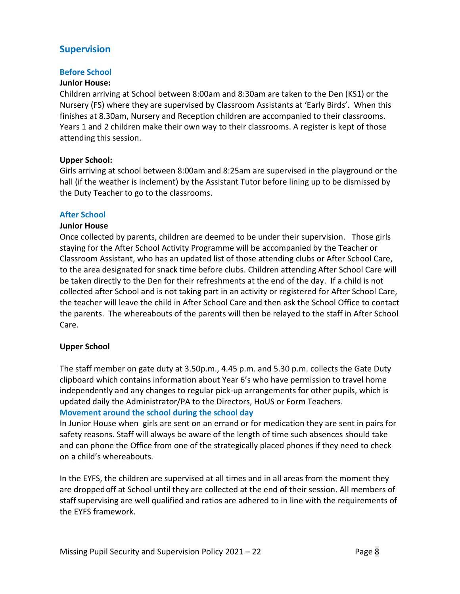# **Supervision**

#### **Before School**

#### **Junior House:**

Children arriving at School between 8:00am and 8:30am are taken to the Den (KS1) or the Nursery (FS) where they are supervised by Classroom Assistants at 'Early Birds'. When this finishes at 8.30am, Nursery and Reception children are accompanied to their classrooms. Years 1 and 2 children make their own way to their classrooms. A register is kept of those attending this session.

#### **Upper School:**

Girls arriving at school between 8:00am and 8:25am are supervised in the playground or the hall (if the weather is inclement) by the Assistant Tutor before lining up to be dismissed by the Duty Teacher to go to the classrooms.

#### **After School**

#### **Junior House**

Once collected by parents, children are deemed to be under their supervision. Those girls staying for the After School Activity Programme will be accompanied by the Teacher or Classroom Assistant, who has an updated list of those attending clubs or After School Care, to the area designated for snack time before clubs. Children attending After School Care will be taken directly to the Den for their refreshments at the end of the day. If a child is not collected after School and is not taking part in an activity or registered for After School Care, the teacher will leave the child in After School Care and then ask the School Office to contact the parents. The whereabouts of the parents will then be relayed to the staff in After School Care.

# **Upper School**

The staff member on gate duty at 3.50p.m., 4.45 p.m. and 5.30 p.m. collects the Gate Duty clipboard which contains information about Year 6's who have permission to travel home independently and any changes to regular pick-up arrangements for other pupils, which is updated daily the Administrator/PA to the Directors, HoUS or Form Teachers. **Movement around the school during the school day**

In Junior House when girls are sent on an errand or for medication they are sent in pairs for safety reasons. Staff will always be aware of the length of time such absences should take and can phone the Office from one of the strategically placed phones if they need to check on a child's whereabouts.

In the EYFS, the children are supervised at all times and in all areas from the moment they are droppedoff at School until they are collected at the end of their session. All members of staffsupervising are well qualified and ratios are adhered to in line with the requirements of the EYFS framework.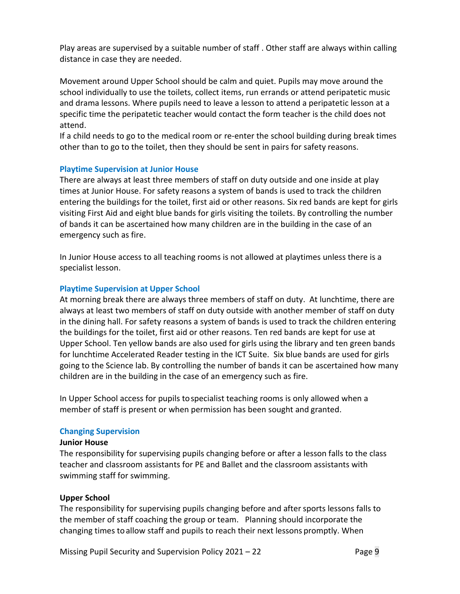Play areas are supervised by a suitable number of staff . Other staff are always within calling distance in case they are needed.

Movement around Upper School should be calm and quiet. Pupils may move around the school individually to use the toilets, collect items, run errands or attend peripatetic music and drama lessons. Where pupils need to leave a lesson to attend a peripatetic lesson at a specific time the peripatetic teacher would contact the form teacher is the child does not attend.

If a child needs to go to the medical room or re-enter the school building during break times other than to go to the toilet, then they should be sent in pairs for safety reasons.

#### **Playtime Supervision at Junior House**

There are always at least three members of staff on duty outside and one inside at play times at Junior House. For safety reasons a system of bands is used to track the children entering the buildings for the toilet, first aid or other reasons. Six red bands are kept for girls visiting First Aid and eight blue bands for girls visiting the toilets. By controlling the number of bands it can be ascertained how many children are in the building in the case of an emergency such as fire.

In Junior House access to all teaching rooms is not allowed at playtimes unless there is a specialist lesson.

#### **Playtime Supervision at Upper School**

At morning break there are always three members of staff on duty. At lunchtime, there are always at least two members of staff on duty outside with another member of staff on duty in the dining hall. For safety reasons a system of bands is used to track the children entering the buildings for the toilet, first aid or other reasons. Ten red bands are kept for use at Upper School. Ten yellow bands are also used for girls using the library and ten green bands for lunchtime Accelerated Reader testing in the ICT Suite. Six blue bands are used for girls going to the Science lab. By controlling the number of bands it can be ascertained how many children are in the building in the case of an emergency such as fire.

In Upper School access for pupils tospecialist teaching rooms is only allowed when a member of staff is present or when permission has been sought and granted.

# **Changing Supervision**

#### **Junior House**

The responsibility for supervising pupils changing before or after a lesson falls to the class teacher and classroom assistants for PE and Ballet and the classroom assistants with swimming staff for swimming.

#### **Upper School**

The responsibility for supervising pupils changing before and after sports lessons falls to the member of staff coaching the group or team. Planning should incorporate the changing times toallow staff and pupils to reach their next lessons promptly. When

Missing Pupil Security and Supervision Policy 2021 – 22 Page 9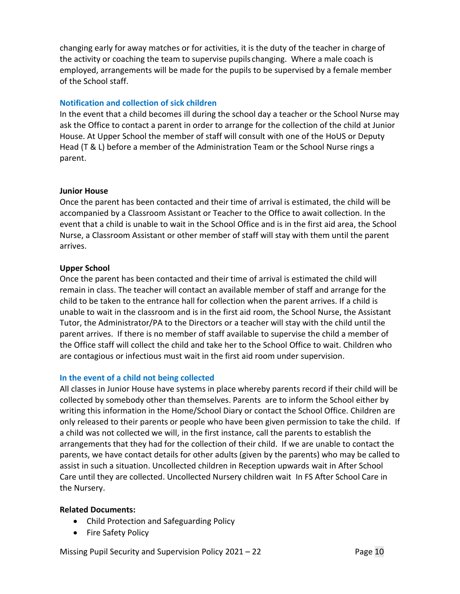changing early for away matches or for activities, it is the duty of the teacher in charge of the activity or coaching the team to supervise pupils changing. Where a male coach is employed, arrangements will be made for the pupils to be supervised by a female member of the School staff.

# **Notification and collection of sick children**

In the event that a child becomes ill during the school day a teacher or the School Nurse may ask the Office to contact a parent in order to arrange for the collection of the child at Junior House. At Upper School the member of staff will consult with one of the HoUS or Deputy Head (T & L) before a member of the Administration Team or the School Nurse rings a parent.

#### **Junior House**

Once the parent has been contacted and their time of arrival is estimated, the child will be accompanied by a Classroom Assistant or Teacher to the Office to await collection. In the event that a child is unable to wait in the School Office and is in the first aid area, the School Nurse, a Classroom Assistant or other member of staff will stay with them until the parent arrives.

# **Upper School**

Once the parent has been contacted and their time of arrival is estimated the child will remain in class. The teacher will contact an available member of staff and arrange for the child to be taken to the entrance hall for collection when the parent arrives. If a child is unable to wait in the classroom and is in the first aid room, the School Nurse, the Assistant Tutor, the Administrator/PA to the Directors or a teacher will stay with the child until the parent arrives. If there is no member of staff available to supervise the child a member of the Office staff will collect the child and take her to the School Office to wait. Children who are contagious or infectious must wait in the first aid room under supervision.

# **In the event of a child not being collected**

All classes in Junior House have systems in place whereby parents record if their child will be collected by somebody other than themselves. Parents are to inform the School either by writing this information in the Home/School Diary or contact the School Office. Children are only released to their parents or people who have been given permission to take the child. If a child was not collected we will, in the first instance, call the parents to establish the arrangements that they had for the collection of their child. If we are unable to contact the parents, we have contact details for other adults (given by the parents) who may be called to assist in such a situation. Uncollected children in Reception upwards wait in After School Care until they are collected. Uncollected Nursery children wait In FS After School Care in the Nursery.

# **Related Documents:**

- Child Protection and Safeguarding Policy
- Fire Safety Policy